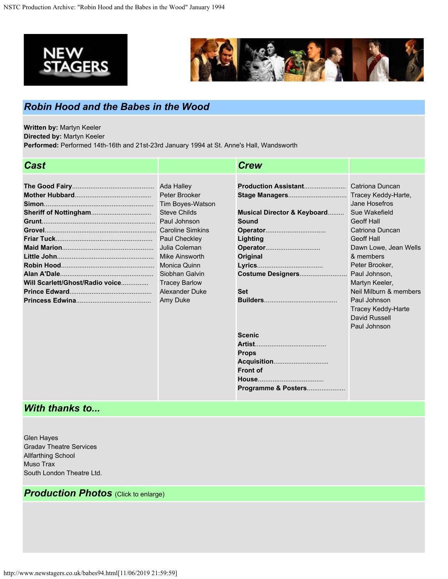



## *Robin Hood and the Babes in the Wood*

**Written by:** Martyn Keeler

**Directed by:** Martyn Keeler

**Performed:** Performed 14th-16th and 21st-23rd January 1994 at St. Anne's Hall, Wandsworth

| <b>Cast</b>                     |                         | <b>Crew</b>                 |                           |
|---------------------------------|-------------------------|-----------------------------|---------------------------|
|                                 |                         |                             |                           |
|                                 | Ada Halley              | Production Assistant        | Catriona Duncan           |
|                                 | Peter Brooker           |                             | Tracey Keddy-Harte,       |
|                                 | <b>Tim Boyes-Watson</b> |                             | Jane Hosefros             |
|                                 | <b>Steve Childs</b>     | Musical Director & Keyboard | Sue Wakefield             |
|                                 | Paul Johnson            | Sound                       | <b>Geoff Hall</b>         |
|                                 | <b>Caroline Simkins</b> |                             | <b>Catriona Duncan</b>    |
|                                 | Paul Checkley           | Lighting                    | <b>Geoff Hall</b>         |
|                                 | Julia Coleman           | Operator                    | Dawn Lowe, Jean Wells     |
|                                 | Mike Ainsworth          | Original                    | & members                 |
|                                 | <b>Monica Quinn</b>     |                             | Peter Brooker,            |
|                                 | Siobhan Galvin          | Costume Designers           | Paul Johnson.             |
| Will Scarlett/Ghost/Radio voice | <b>Tracey Barlow</b>    |                             | Martyn Keeler,            |
|                                 | <b>Alexander Duke</b>   | <b>Set</b>                  | Neil Milburn & members    |
|                                 | Amy Duke                |                             | Paul Johnson              |
|                                 |                         |                             | <b>Tracey Keddy-Harte</b> |
|                                 |                         |                             | David Russell             |
|                                 |                         |                             | Paul Johnson              |
|                                 |                         | <b>Scenic</b>               |                           |
|                                 |                         |                             |                           |
|                                 |                         | <b>Props</b>                |                           |
|                                 |                         |                             |                           |
|                                 |                         | <b>Front of</b>             |                           |
|                                 |                         |                             |                           |
|                                 |                         | Programme & Posters         |                           |

## *With thanks to...*

Glen Hayes Gradav Theatre Services Allfarthing School Muso Trax South London Theatre Ltd.

## *Production Photos* (Click to enlarge)